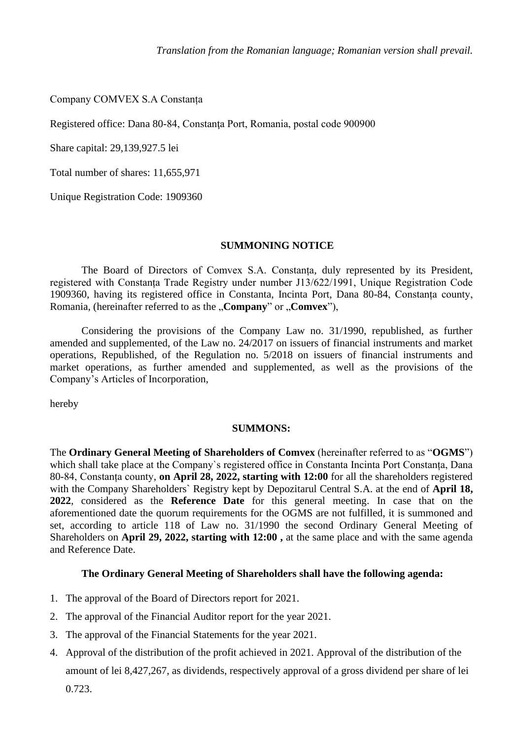Company COMVEX S.A Constanța

Registered office: Dana 80-84, Constanta Port, Romania, postal code 900900

Share capital: 29,139,927.5 lei

Total number of shares: 11,655,971

Unique Registration Code: 1909360

### **SUMMONING NOTICE**

The Board of Directors of Comvex S.A. Constanța, duly represented by its President, registered with Constanța Trade Registry under number J13/622/1991, Unique Registration Code 1909360, having its registered office in Constanta, Incinta Port, Dana 80-84, Constanța county, Romania, (hereinafter referred to as the "Company" or "Comvex"),

Considering the provisions of the Company Law no. 31/1990, republished, as further amended and supplemented, of the Law no. 24/2017 on issuers of financial instruments and market operations, Republished, of the Regulation no. 5/2018 on issuers of financial instruments and market operations, as further amended and supplemented, as well as the provisions of the Company's Articles of Incorporation,

hereby

### **SUMMONS:**

The **Ordinary General Meeting of Shareholders of Comvex** (hereinafter referred to as "**OGMS**") which shall take place at the Company`s registered office in Constanta Incinta Port Constanța, Dana 80-84, Constanța county, **on April 28, 2022, starting with 12:00** for all the shareholders registered with the Company Shareholders` Registry kept by Depozitarul Central S.A. at the end of **April 18, 2022**, considered as the **Reference Date** for this general meeting. In case that on the aforementioned date the quorum requirements for the OGMS are not fulfilled, it is summoned and set, according to article 118 of Law no. 31/1990 the second Ordinary General Meeting of Shareholders on **April 29, 2022, starting with 12:00 ,** at the same place and with the same agenda and Reference Date.

### **The Ordinary General Meeting of Shareholders shall have the following agenda:**

- 1. The approval of the Board of Directors report for 2021.
- 2. The approval of the Financial Auditor report for the year 2021.
- 3. The approval of the Financial Statements for the year 2021.
- 4. Approval of the distribution of the profit achieved in 2021. Approval of the distribution of the amount of lei 8,427,267, as dividends, respectively approval of a gross dividend per share of lei 0.723.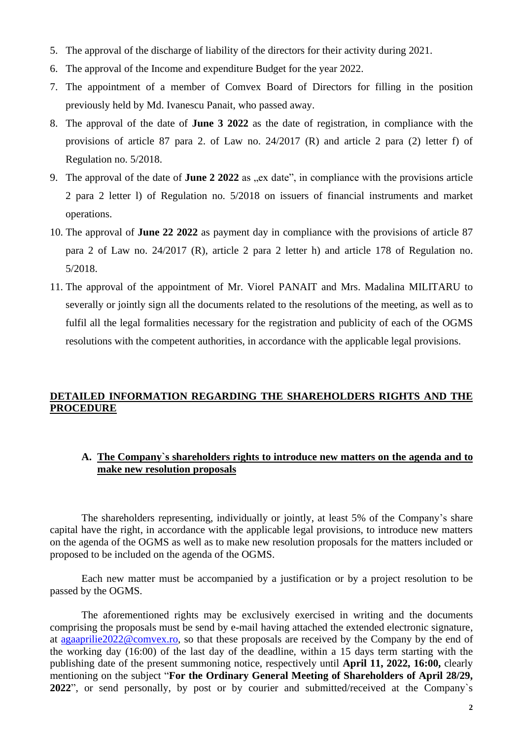- 5. The approval of the discharge of liability of the directors for their activity during 2021.
- 6. The approval of the Income and expenditure Budget for the year 2022.
- 7. The appointment of a member of Comvex Board of Directors for filling in the position previously held by Md. Ivanescu Panait, who passed away.
- 8. The approval of the date of **June 3 2022** as the date of registration, in compliance with the provisions of article 87 para 2. of Law no. 24/2017 (R) and article 2 para (2) letter f) of Regulation no. 5/2018.
- 9. The approval of the date of **June 2 2022** as "ex date", in compliance with the provisions article 2 para 2 letter l) of Regulation no. 5/2018 on issuers of financial instruments and market operations.
- 10. The approval of **June 22 2022** as payment day in compliance with the provisions of article 87 para 2 of Law no. 24/2017 (R), article 2 para 2 letter h) and article 178 of Regulation no. 5/2018.
- 11. The approval of the appointment of Mr. Viorel PANAIT and Mrs. Madalina MILITARU to severally or jointly sign all the documents related to the resolutions of the meeting, as well as to fulfil all the legal formalities necessary for the registration and publicity of each of the OGMS resolutions with the competent authorities, in accordance with the applicable legal provisions.

# **DETAILED INFORMATION REGARDING THE SHAREHOLDERS RIGHTS AND THE PROCEDURE**

# **A. The Company`s shareholders rights to introduce new matters on the agenda and to make new resolution proposals**

The shareholders representing, individually or jointly, at least 5% of the Company's share capital have the right, in accordance with the applicable legal provisions, to introduce new matters on the agenda of the OGMS as well as to make new resolution proposals for the matters included or proposed to be included on the agenda of the OGMS.

Each new matter must be accompanied by a justification or by a project resolution to be passed by the OGMS.

The aforementioned rights may be exclusively exercised in writing and the documents comprising the proposals must be send by e-mail having attached the extended electronic signature, at [agaaprilie2022@comvex.ro,](mailto:agaaprilie2022@comvex.ro) so that these proposals are received by the Company by the end of the working day (16:00) of the last day of the deadline, within a 15 days term starting with the publishing date of the present summoning notice, respectively until **April 11, 2022, 16:00,** clearly mentioning on the subject "**For the Ordinary General Meeting of Shareholders of April 28/29, 2022**", or send personally, by post or by courier and submitted/received at the Company`s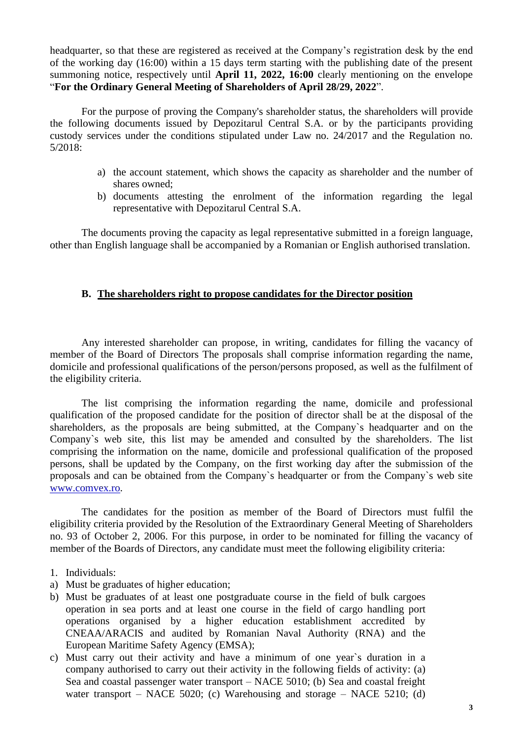headquarter, so that these are registered as received at the Company's registration desk by the end of the working day (16:00) within a 15 days term starting with the publishing date of the present summoning notice, respectively until **April 11, 2022, 16:00** clearly mentioning on the envelope "**For the Ordinary General Meeting of Shareholders of April 28/29, 2022**".

For the purpose of proving the Company's shareholder status, the shareholders will provide the following documents issued by Depozitarul Central S.A. or by the participants providing custody services under the conditions stipulated under Law no. 24/2017 and the Regulation no. 5/2018:

- a) the account statement, which shows the capacity as shareholder and the number of shares owned;
- b) documents attesting the enrolment of the information regarding the legal representative with Depozitarul Central S.A.

The documents proving the capacity as legal representative submitted in a foreign language, other than English language shall be accompanied by a Romanian or English authorised translation.

### **B. The shareholders right to propose candidates for the Director position**

Any interested shareholder can propose, in writing, candidates for filling the vacancy of member of the Board of Directors The proposals shall comprise information regarding the name, domicile and professional qualifications of the person/persons proposed, as well as the fulfilment of the eligibility criteria.

The list comprising the information regarding the name, domicile and professional qualification of the proposed candidate for the position of director shall be at the disposal of the shareholders, as the proposals are being submitted, at the Company`s headquarter and on the Company`s web site, this list may be amended and consulted by the shareholders. The list comprising the information on the name, domicile and professional qualification of the proposed persons, shall be updated by the Company, on the first working day after the submission of the proposals and can be obtained from the Company`s headquarter or from the Company`s web site [www.comvex.ro.](http://www.comvex.ro/)

The candidates for the position as member of the Board of Directors must fulfil the eligibility criteria provided by the Resolution of the Extraordinary General Meeting of Shareholders no. 93 of October 2, 2006. For this purpose, in order to be nominated for filling the vacancy of member of the Boards of Directors, any candidate must meet the following eligibility criteria:

- 1. Individuals:
- a) Must be graduates of higher education;
- b) Must be graduates of at least one postgraduate course in the field of bulk cargoes operation in sea ports and at least one course in the field of cargo handling port operations organised by a higher education establishment accredited by CNEAA/ARACIS and audited by Romanian Naval Authority (RNA) and the European Maritime Safety Agency (EMSA);
- c) Must carry out their activity and have a minimum of one year`s duration in a company authorised to carry out their activity in the following fields of activity: (a) Sea and coastal passenger water transport – NACE 5010; (b) Sea and coastal freight water transport – NACE 5020; (c) Warehousing and storage – NACE 5210; (d)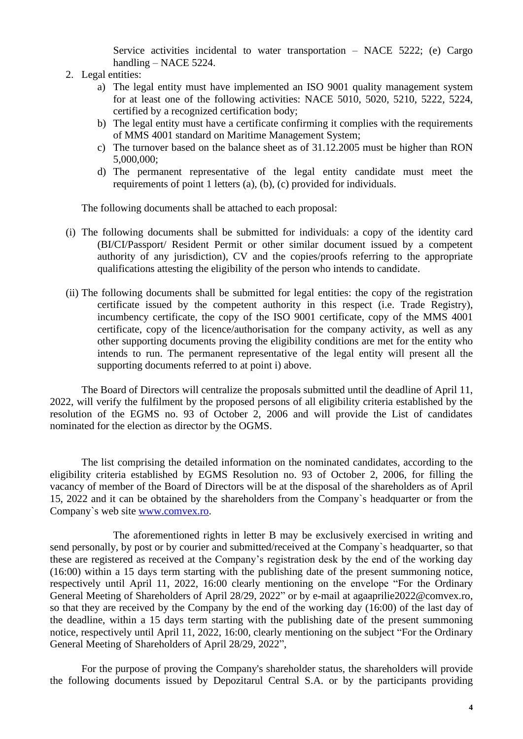Service activities incidental to water transportation – NACE 5222; (e) Cargo handling – NACE 5224.

- 2. Legal entities:
	- a) The legal entity must have implemented an ISO 9001 quality management system for at least one of the following activities: NACE 5010, 5020, 5210, 5222, 5224, certified by a recognized certification body;
	- b) The legal entity must have a certificate confirming it complies with the requirements of MMS 4001 standard on Maritime Management System;
	- c) The turnover based on the balance sheet as of 31.12.2005 must be higher than RON 5,000,000;
	- d) The permanent representative of the legal entity candidate must meet the requirements of point 1 letters (a), (b), (c) provided for individuals.

The following documents shall be attached to each proposal:

- (i) The following documents shall be submitted for individuals: a copy of the identity card (BI/CI/Passport/ Resident Permit or other similar document issued by a competent authority of any jurisdiction), CV and the copies/proofs referring to the appropriate qualifications attesting the eligibility of the person who intends to candidate.
- (ii) The following documents shall be submitted for legal entities: the copy of the registration certificate issued by the competent authority in this respect (i.e. Trade Registry), incumbency certificate, the copy of the ISO 9001 certificate, copy of the MMS 4001 certificate, copy of the licence/authorisation for the company activity, as well as any other supporting documents proving the eligibility conditions are met for the entity who intends to run. The permanent representative of the legal entity will present all the supporting documents referred to at point i) above.

The Board of Directors will centralize the proposals submitted until the deadline of April 11, 2022, will verify the fulfilment by the proposed persons of all eligibility criteria established by the resolution of the EGMS no. 93 of October 2, 2006 and will provide the List of candidates nominated for the election as director by the OGMS.

The list comprising the detailed information on the nominated candidates, according to the eligibility criteria established by EGMS Resolution no. 93 of October 2, 2006, for filling the vacancy of member of the Board of Directors will be at the disposal of the shareholders as of April 15, 2022 and it can be obtained by the shareholders from the Company`s headquarter or from the Company`s web site [www.comvex.ro.](http://www.comvex.ro/)

The aforementioned rights in letter B may be exclusively exercised in writing and send personally, by post or by courier and submitted/received at the Company`s headquarter, so that these are registered as received at the Company's registration desk by the end of the working day (16:00) within a 15 days term starting with the publishing date of the present summoning notice, respectively until April 11, 2022, 16:00 clearly mentioning on the envelope "For the Ordinary General Meeting of Shareholders of April 28/29, 2022" or by e-mail at [agaaprilie2022@comvex.ro,](mailto:agaaprilie2022@comvex.ro) so that they are received by the Company by the end of the working day (16:00) of the last day of the deadline, within a 15 days term starting with the publishing date of the present summoning notice, respectively until April 11, 2022, 16:00, clearly mentioning on the subject "For the Ordinary General Meeting of Shareholders of April 28/29, 2022",

For the purpose of proving the Company's shareholder status, the shareholders will provide the following documents issued by Depozitarul Central S.A. or by the participants providing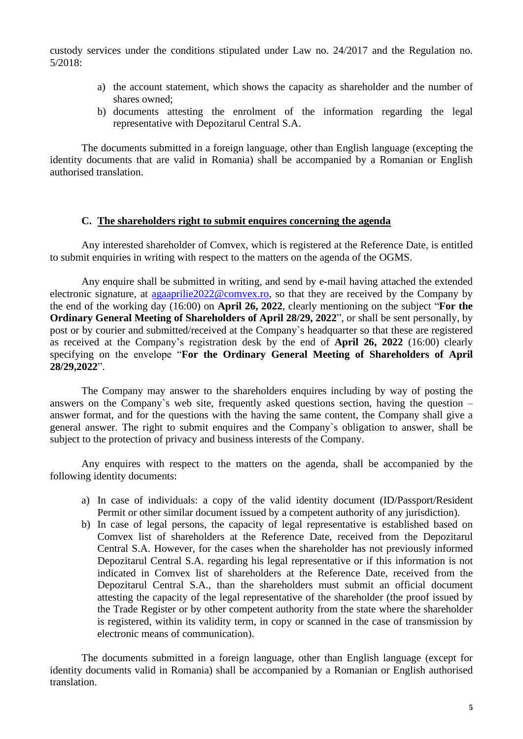custody services under the conditions stipulated under Law no. 24/2017 and the Regulation no. 5/2018:

- a) the account statement, which shows the capacity as shareholder and the number of shares owned;
- b) documents attesting the enrolment of the information regarding the legal representative with Depozitarul Central S.A.

The documents submitted in a foreign language, other than English language (excepting the identity documents that are valid in Romania) shall be accompanied by a Romanian or English authorised translation.

#### **C. The shareholders right to submit enquires concerning the agenda**

Any interested shareholder of Comvex, which is registered at the Reference Date, is entitled to submit enquiries in writing with respect to the matters on the agenda of the OGMS.

Any enquire shall be submitted in writing, and send by e-mail having attached the extended electronic signature, at [agaaprilie2022@comvex.ro,](mailto:agaaprilie2022@comvex.ro) so that they are received by the Company by the end of the working day (16:00) on **April 26, 2022**, clearly mentioning on the subject "**For the Ordinary General Meeting of Shareholders of April 28/29, 2022**", or shall be sent personally, by post or by courier and submitted/received at the Company`s headquarter so that these are registered as received at the Company's registration desk by the end of **April 26, 2022** (16:00) clearly specifying on the envelope "**For the Ordinary General Meeting of Shareholders of April 28/29,2022**".

The Company may answer to the shareholders enquires including by way of posting the answers on the Company`s web site, frequently asked questions section, having the question – answer format, and for the questions with the having the same content, the Company shall give a general answer. The right to submit enquires and the Company`s obligation to answer, shall be subject to the protection of privacy and business interests of the Company.

Any enquires with respect to the matters on the agenda, shall be accompanied by the following identity documents:

- a) In case of individuals: a copy of the valid identity document (ID/Passport/Resident Permit or other similar document issued by a competent authority of any jurisdiction).
- b) In case of legal persons, the capacity of legal representative is established based on Comvex list of shareholders at the Reference Date, received from the Depozitarul Central S.A. However, for the cases when the shareholder has not previously informed Depozitarul Central S.A. regarding his legal representative or if this information is not indicated in Comvex list of shareholders at the Reference Date, received from the Depozitarul Central S.A., than the shareholders must submit an official document attesting the capacity of the legal representative of the shareholder (the proof issued by the Trade Register or by other competent authority from the state where the shareholder is registered, within its validity term, in copy or scanned in the case of transmission by electronic means of communication).

The documents submitted in a foreign language, other than English language (except for identity documents valid in Romania) shall be accompanied by a Romanian or English authorised translation.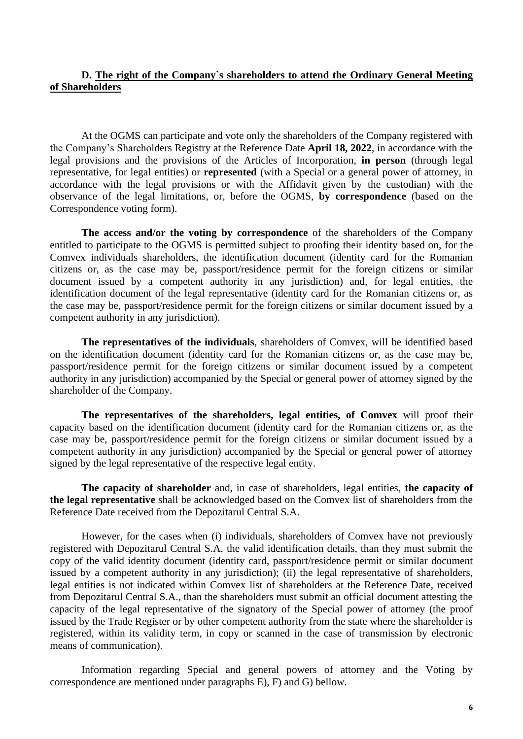## **D. The right of the Company`s shareholders to attend the Ordinary General Meeting of Shareholders**

At the OGMS can participate and vote only the shareholders of the Company registered with the Company's Shareholders Registry at the Reference Date **April 18, 2022**, in accordance with the legal provisions and the provisions of the Articles of Incorporation, **in person** (through legal representative, for legal entities) or **represented** (with a Special or a general power of attorney, in accordance with the legal provisions or with the Affidavit given by the custodian) with the observance of the legal limitations, or, before the OGMS, **by correspondence** (based on the Correspondence voting form).

**The access and/or the voting by correspondence** of the shareholders of the Company entitled to participate to the OGMS is permitted subject to proofing their identity based on, for the Comvex individuals shareholders, the identification document (identity card for the Romanian citizens or, as the case may be, passport/residence permit for the foreign citizens or similar document issued by a competent authority in any jurisdiction) and, for legal entities, the identification document of the legal representative (identity card for the Romanian citizens or, as the case may be, passport/residence permit for the foreign citizens or similar document issued by a competent authority in any jurisdiction).

**The representatives of the individuals**, shareholders of Comvex, will be identified based on the identification document (identity card for the Romanian citizens or, as the case may be, passport/residence permit for the foreign citizens or similar document issued by a competent authority in any jurisdiction) accompanied by the Special or general power of attorney signed by the shareholder of the Company.

**The representatives of the shareholders, legal entities, of Comvex** will proof their capacity based on the identification document (identity card for the Romanian citizens or, as the case may be, passport/residence permit for the foreign citizens or similar document issued by a competent authority in any jurisdiction) accompanied by the Special or general power of attorney signed by the legal representative of the respective legal entity.

**The capacity of shareholder** and, in case of shareholders, legal entities, **the capacity of the legal representative** shall be acknowledged based on the Comvex list of shareholders from the Reference Date received from the Depozitarul Central S.A.

However, for the cases when (i) individuals, shareholders of Comvex have not previously registered with Depozitarul Central S.A. the valid identification details, than they must submit the copy of the valid identity document (identity card, passport/residence permit or similar document issued by a competent authority in any jurisdiction); (ii) the legal representative of shareholders, legal entities is not indicated within Comvex list of shareholders at the Reference Date, received from Depozitarul Central S.A., than the shareholders must submit an official document attesting the capacity of the legal representative of the signatory of the Special power of attorney (the proof issued by the Trade Register or by other competent authority from the state where the shareholder is registered, within its validity term, in copy or scanned in the case of transmission by electronic means of communication).

Information regarding Special and general powers of attorney and the Voting by correspondence are mentioned under paragraphs E), F) and G) bellow.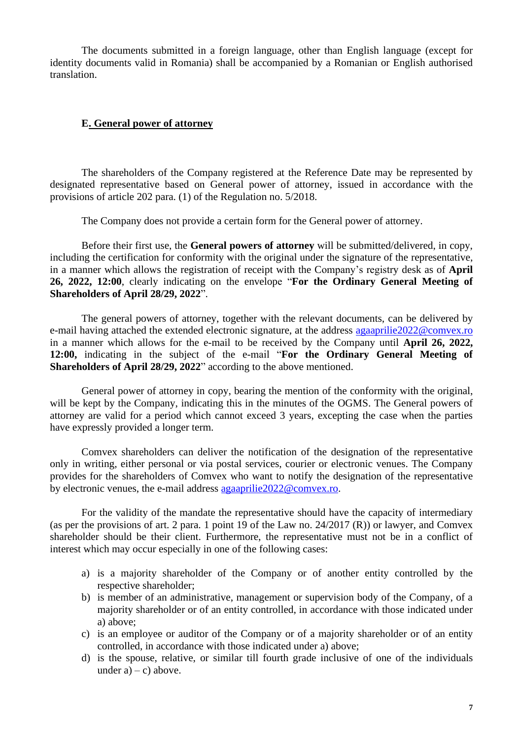The documents submitted in a foreign language, other than English language (except for identity documents valid in Romania) shall be accompanied by a Romanian or English authorised translation.

# **E. General power of attorney**

The shareholders of the Company registered at the Reference Date may be represented by designated representative based on General power of attorney, issued in accordance with the provisions of article 202 para. (1) of the Regulation no. 5/2018.

The Company does not provide a certain form for the General power of attorney.

Before their first use, the **General powers of attorney** will be submitted/delivered, in copy, including the certification for conformity with the original under the signature of the representative, in a manner which allows the registration of receipt with the Company's registry desk as of **April 26, 2022, 12:00**, clearly indicating on the envelope "**For the Ordinary General Meeting of Shareholders of April 28/29, 2022**".

The general powers of attorney, together with the relevant documents, can be delivered by e-mail having attached the extended electronic signature, at the address [agaaprilie2022@comvex.ro](mailto:agaaprilie2022@comvex.ro) in a manner which allows for the e-mail to be received by the Company until **April 26, 2022, 12:00,** indicating in the subject of the e-mail "**For the Ordinary General Meeting of Shareholders of April 28/29, 2022**" according to the above mentioned.

General power of attorney in copy, bearing the mention of the conformity with the original, will be kept by the Company, indicating this in the minutes of the OGMS. The General powers of attorney are valid for a period which cannot exceed 3 years, excepting the case when the parties have expressly provided a longer term.

Comvex shareholders can deliver the notification of the designation of the representative only in writing, either personal or via postal services, courier or electronic venues. The Company provides for the shareholders of Comvex who want to notify the designation of the representative by electronic venues, the e-mail address [agaaprilie2022@comvex.ro.](mailto:agaaprilie2022@comvex.ro)

For the validity of the mandate the representative should have the capacity of intermediary (as per the provisions of art. 2 para. 1 point 19 of the Law no. 24/2017 (R)) or lawyer, and Comvex shareholder should be their client. Furthermore, the representative must not be in a conflict of interest which may occur especially in one of the following cases:

- a) is a majority shareholder of the Company or of another entity controlled by the respective shareholder;
- b) is member of an administrative, management or supervision body of the Company, of a majority shareholder or of an entity controlled, in accordance with those indicated under a) above;
- c) is an employee or auditor of the Company or of a majority shareholder or of an entity controlled, in accordance with those indicated under a) above;
- d) is the spouse, relative, or similar till fourth grade inclusive of one of the individuals under  $a$ ) – c) above.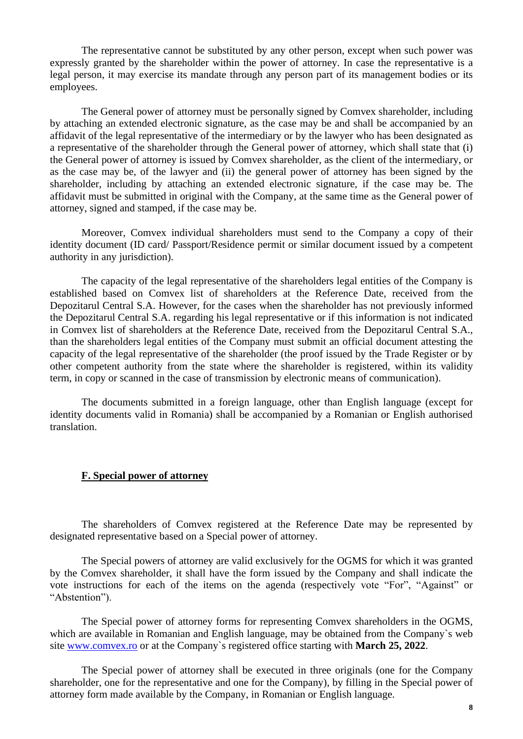The representative cannot be substituted by any other person, except when such power was expressly granted by the shareholder within the power of attorney. In case the representative is a legal person, it may exercise its mandate through any person part of its management bodies or its employees.

The General power of attorney must be personally signed by Comvex shareholder, including by attaching an extended electronic signature, as the case may be and shall be accompanied by an affidavit of the legal representative of the intermediary or by the lawyer who has been designated as a representative of the shareholder through the General power of attorney, which shall state that (i) the General power of attorney is issued by Comvex shareholder, as the client of the intermediary, or as the case may be, of the lawyer and (ii) the general power of attorney has been signed by the shareholder, including by attaching an extended electronic signature, if the case may be. The affidavit must be submitted in original with the Company, at the same time as the General power of attorney, signed and stamped, if the case may be.

Moreover, Comvex individual shareholders must send to the Company a copy of their identity document (ID card/ Passport/Residence permit or similar document issued by a competent authority in any jurisdiction).

The capacity of the legal representative of the shareholders legal entities of the Company is established based on Comvex list of shareholders at the Reference Date, received from the Depozitarul Central S.A. However, for the cases when the shareholder has not previously informed the Depozitarul Central S.A. regarding his legal representative or if this information is not indicated in Comvex list of shareholders at the Reference Date, received from the Depozitarul Central S.A., than the shareholders legal entities of the Company must submit an official document attesting the capacity of the legal representative of the shareholder (the proof issued by the Trade Register or by other competent authority from the state where the shareholder is registered, within its validity term, in copy or scanned in the case of transmission by electronic means of communication).

The documents submitted in a foreign language, other than English language (except for identity documents valid in Romania) shall be accompanied by a Romanian or English authorised translation.

#### **F. Special power of attorney**

The shareholders of Comvex registered at the Reference Date may be represented by designated representative based on a Special power of attorney.

The Special powers of attorney are valid exclusively for the OGMS for which it was granted by the Comvex shareholder, it shall have the form issued by the Company and shall indicate the vote instructions for each of the items on the agenda (respectively vote "For", "Against" or "Abstention").

The Special power of attorney forms for representing Comvex shareholders in the OGMS, which are available in Romanian and English language, may be obtained from the Company`s web site [www.comvex.ro](http://www.comvex.ro/) or at the Company`s registered office starting with **March 25, 2022**.

The Special power of attorney shall be executed in three originals (one for the Company shareholder, one for the representative and one for the Company), by filling in the Special power of attorney form made available by the Company, in Romanian or English language.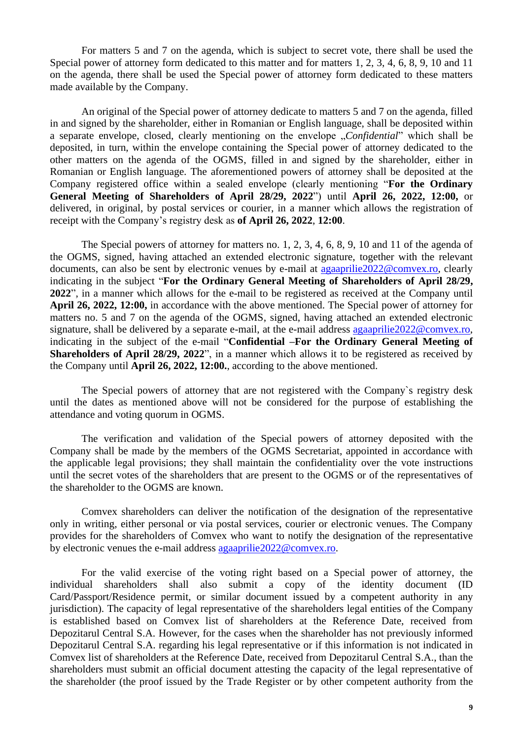For matters 5 and 7 on the agenda, which is subject to secret vote, there shall be used the Special power of attorney form dedicated to this matter and for matters 1, 2, 3, 4, 6, 8, 9, 10 and 11 on the agenda, there shall be used the Special power of attorney form dedicated to these matters made available by the Company.

An original of the Special power of attorney dedicate to matters 5 and 7 on the agenda, filled in and signed by the shareholder, either in Romanian or English language, shall be deposited within a separate envelope, closed, clearly mentioning on the envelope *"Confidential*" which shall be deposited, in turn, within the envelope containing the Special power of attorney dedicated to the other matters on the agenda of the OGMS, filled in and signed by the shareholder, either in Romanian or English language. The aforementioned powers of attorney shall be deposited at the Company registered office within a sealed envelope (clearly mentioning "**For the Ordinary General Meeting of Shareholders of April 28/29, 2022**") until **April 26, 2022, 12:00,** or delivered, in original, by postal services or courier, in a manner which allows the registration of receipt with the Company's registry desk as **of April 26, 2022**, **12:00**.

The Special powers of attorney for matters no. 1, 2, 3, 4, 6, 8, 9, 10 and 11 of the agenda of the OGMS, signed, having attached an extended electronic signature, together with the relevant documents, can also be sent by electronic venues by e-mail at [agaaprilie2022@comvex.ro,](mailto:agaaprilie2022@comvex.ro) clearly indicating in the subject "**For the Ordinary General Meeting of Shareholders of April 28/29, 2022**", in a manner which allows for the e-mail to be registered as received at the Company until **April 26, 2022, 12:00,** in accordance with the above mentioned. The Special power of attorney for matters no. 5 and 7 on the agenda of the OGMS, signed, having attached an extended electronic signature, shall be delivered by a separate e-mail, at the e-mail address [agaaprilie2022@comvex.ro,](mailto:agaaprilie2022@comvex.ro) indicating in the subject of the e-mail "**Confidential –For the Ordinary General Meeting of Shareholders of April 28/29, 2022**", in a manner which allows it to be registered as received by the Company until **April 26, 2022, 12:00.**, according to the above mentioned.

The Special powers of attorney that are not registered with the Company`s registry desk until the dates as mentioned above will not be considered for the purpose of establishing the attendance and voting quorum in OGMS.

The verification and validation of the Special powers of attorney deposited with the Company shall be made by the members of the OGMS Secretariat, appointed in accordance with the applicable legal provisions; they shall maintain the confidentiality over the vote instructions until the secret votes of the shareholders that are present to the OGMS or of the representatives of the shareholder to the OGMS are known.

Comvex shareholders can deliver the notification of the designation of the representative only in writing, either personal or via postal services, courier or electronic venues. The Company provides for the shareholders of Comvex who want to notify the designation of the representative by electronic venues the e-mail address [agaaprilie2022@comvex.ro.](mailto:agaaprilie2022@comvex.ro)

For the valid exercise of the voting right based on a Special power of attorney, the individual shareholders shall also submit a copy of the identity document (ID Card/Passport/Residence permit, or similar document issued by a competent authority in any jurisdiction). The capacity of legal representative of the shareholders legal entities of the Company is established based on Comvex list of shareholders at the Reference Date, received from Depozitarul Central S.A. However, for the cases when the shareholder has not previously informed Depozitarul Central S.A. regarding his legal representative or if this information is not indicated in Comvex list of shareholders at the Reference Date, received from Depozitarul Central S.A., than the shareholders must submit an official document attesting the capacity of the legal representative of the shareholder (the proof issued by the Trade Register or by other competent authority from the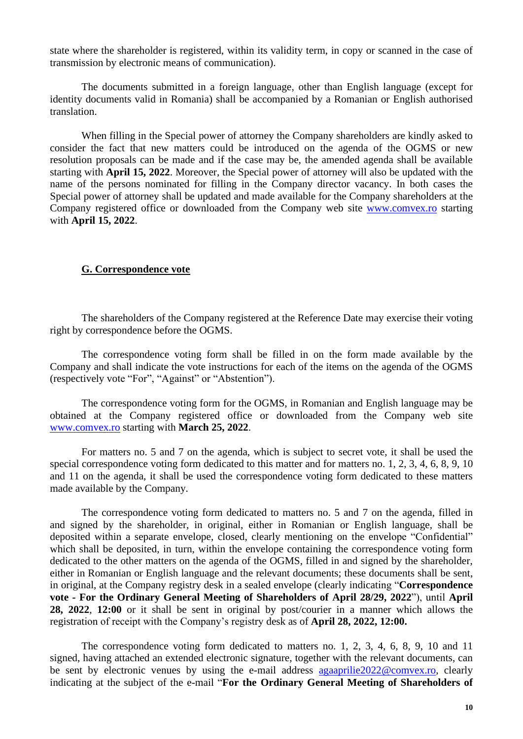state where the shareholder is registered, within its validity term, in copy or scanned in the case of transmission by electronic means of communication).

The documents submitted in a foreign language, other than English language (except for identity documents valid in Romania) shall be accompanied by a Romanian or English authorised translation.

When filling in the Special power of attorney the Company shareholders are kindly asked to consider the fact that new matters could be introduced on the agenda of the OGMS or new resolution proposals can be made and if the case may be, the amended agenda shall be available starting with **April 15, 2022**. Moreover, the Special power of attorney will also be updated with the name of the persons nominated for filling in the Company director vacancy. In both cases the Special power of attorney shall be updated and made available for the Company shareholders at the Company registered office or downloaded from the Company web site [www.comvex.ro](http://www.comvex.ro/) starting with **April 15, 2022**.

#### **G. Correspondence vote**

The shareholders of the Company registered at the Reference Date may exercise their voting right by correspondence before the OGMS.

The correspondence voting form shall be filled in on the form made available by the Company and shall indicate the vote instructions for each of the items on the agenda of the OGMS (respectively vote "For", "Against" or "Abstention").

The correspondence voting form for the OGMS, in Romanian and English language may be obtained at the Company registered office or downloaded from the Company web site [www.comvex.ro](http://www.comvex.ro/) starting with **March 25, 2022**.

For matters no. 5 and 7 on the agenda, which is subject to secret vote, it shall be used the special correspondence voting form dedicated to this matter and for matters no. 1, 2, 3, 4, 6, 8, 9, 10 and 11 on the agenda, it shall be used the correspondence voting form dedicated to these matters made available by the Company.

The correspondence voting form dedicated to matters no. 5 and 7 on the agenda, filled in and signed by the shareholder, in original, either in Romanian or English language, shall be deposited within a separate envelope, closed, clearly mentioning on the envelope "Confidential" which shall be deposited, in turn, within the envelope containing the correspondence voting form dedicated to the other matters on the agenda of the OGMS, filled in and signed by the shareholder, either in Romanian or English language and the relevant documents; these documents shall be sent, in original, at the Company registry desk in a sealed envelope (clearly indicating "**Correspondence vote - For the Ordinary General Meeting of Shareholders of April 28/29, 2022**"), until **April 28, 2022**, **12:00** or it shall be sent in original by post/courier in a manner which allows the registration of receipt with the Company's registry desk as of **April 28, 2022, 12:00.**

The correspondence voting form dedicated to matters no. 1, 2, 3, 4, 6, 8, 9, 10 and 11 signed, having attached an extended electronic signature, together with the relevant documents, can be sent by electronic venues by using the e-mail address [agaaprilie2022@comvex.ro,](mailto:agaaprilie2022@comvex.ro) clearly indicating at the subject of the e-mail "**For the Ordinary General Meeting of Shareholders of**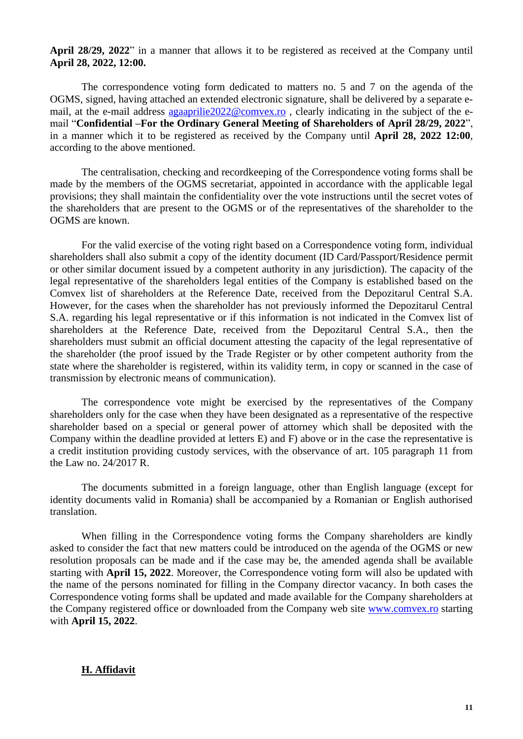### **April 28/29, 2022**" in a manner that allows it to be registered as received at the Company until **April 28, 2022, 12:00.**

The correspondence voting form dedicated to matters no. 5 and 7 on the agenda of the OGMS, signed, having attached an extended electronic signature, shall be delivered by a separate email, at the e-mail address [agaaprilie2022@comvex.ro](mailto:agaaprilie2022@comvex.ro) , clearly indicating in the subject of the email "**Confidential –For the Ordinary General Meeting of Shareholders of April 28/29, 2022**", in a manner which it to be registered as received by the Company until **April 28, 2022 12:00**, according to the above mentioned.

The centralisation, checking and recordkeeping of the Correspondence voting forms shall be made by the members of the OGMS secretariat, appointed in accordance with the applicable legal provisions; they shall maintain the confidentiality over the vote instructions until the secret votes of the shareholders that are present to the OGMS or of the representatives of the shareholder to the OGMS are known.

For the valid exercise of the voting right based on a Correspondence voting form, individual shareholders shall also submit a copy of the identity document (ID Card/Passport/Residence permit or other similar document issued by a competent authority in any jurisdiction). The capacity of the legal representative of the shareholders legal entities of the Company is established based on the Comvex list of shareholders at the Reference Date, received from the Depozitarul Central S.A. However, for the cases when the shareholder has not previously informed the Depozitarul Central S.A. regarding his legal representative or if this information is not indicated in the Comvex list of shareholders at the Reference Date, received from the Depozitarul Central S.A., then the shareholders must submit an official document attesting the capacity of the legal representative of the shareholder (the proof issued by the Trade Register or by other competent authority from the state where the shareholder is registered, within its validity term, in copy or scanned in the case of transmission by electronic means of communication).

The correspondence vote might be exercised by the representatives of the Company shareholders only for the case when they have been designated as a representative of the respective shareholder based on a special or general power of attorney which shall be deposited with the Company within the deadline provided at letters E) and F) above or in the case the representative is a credit institution providing custody services, with the observance of art. 105 paragraph 11 from the Law no. 24/2017 R.

The documents submitted in a foreign language, other than English language (except for identity documents valid in Romania) shall be accompanied by a Romanian or English authorised translation.

When filling in the Correspondence voting forms the Company shareholders are kindly asked to consider the fact that new matters could be introduced on the agenda of the OGMS or new resolution proposals can be made and if the case may be, the amended agenda shall be available starting with **April 15, 2022**. Moreover, the Correspondence voting form will also be updated with the name of the persons nominated for filling in the Company director vacancy. In both cases the Correspondence voting forms shall be updated and made available for the Company shareholders at the Company registered office or downloaded from the Company web site [www.comvex.ro](http://www.comvex.ro/) starting with **April 15, 2022**.

### **H. Affidavit**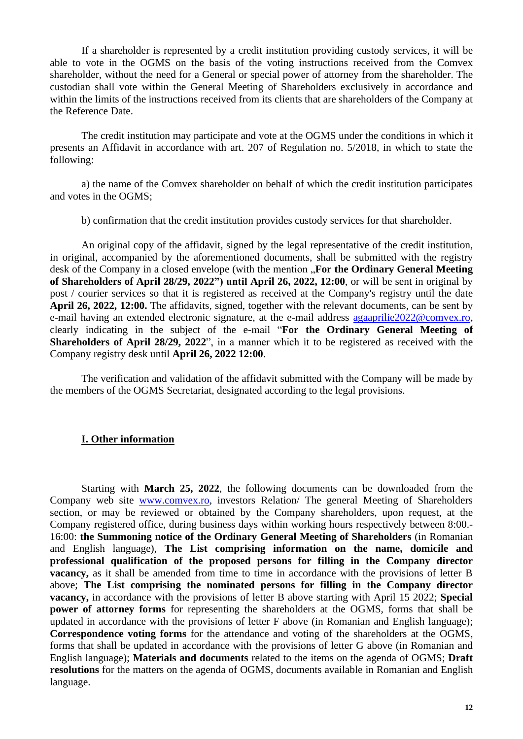If a shareholder is represented by a credit institution providing custody services, it will be able to vote in the OGMS on the basis of the voting instructions received from the Comvex shareholder, without the need for a General or special power of attorney from the shareholder. The custodian shall vote within the General Meeting of Shareholders exclusively in accordance and within the limits of the instructions received from its clients that are shareholders of the Company at the Reference Date.

The credit institution may participate and vote at the OGMS under the conditions in which it presents an Affidavit in accordance with art. 207 of Regulation no. 5/2018, in which to state the following:

a) the name of the Comvex shareholder on behalf of which the credit institution participates and votes in the OGMS;

b) confirmation that the credit institution provides custody services for that shareholder.

An original copy of the affidavit, signed by the legal representative of the credit institution, in original, accompanied by the aforementioned documents, shall be submitted with the registry desk of the Company in a closed envelope (with the mention .**For the Ordinary General Meeting of Shareholders of April 28/29, 2022") until April 26, 2022, 12:00**, or will be sent in original by post / courier services so that it is registered as received at the Company's registry until the date **April 26, 2022, 12:00.** The affidavits, signed, together with the relevant documents, can be sent by e-mail having an extended electronic signature, at the e-mail address [agaaprilie2022@comvex.ro,](mailto:agaaprilie2022@comvex.ro) clearly indicating in the subject of the e-mail "**For the Ordinary General Meeting of Shareholders of April 28/29, 2022**", in a manner which it to be registered as received with the Company registry desk until **April 26, 2022 12:00**.

The verification and validation of the affidavit submitted with the Company will be made by the members of the OGMS Secretariat, designated according to the legal provisions.

#### **I. Other information**

Starting with **March 25, 2022**, the following documents can be downloaded from the Company web site [www.comvex.ro,](http://www.comvex.ro/) investors Relation/ The general Meeting of Shareholders section, or may be reviewed or obtained by the Company shareholders, upon request, at the Company registered office, during business days within working hours respectively between 8:00.- 16:00: **the Summoning notice of the Ordinary General Meeting of Shareholders** (in Romanian and English language), **The List comprising information on the name, domicile and professional qualification of the proposed persons for filling in the Company director vacancy**, as it shall be amended from time to time in accordance with the provisions of letter B above; **The List comprising the nominated persons for filling in the Company director vacancy,** in accordance with the provisions of letter B above starting with April 15 2022; **Special power of attorney forms** for representing the shareholders at the OGMS, forms that shall be updated in accordance with the provisions of letter F above (in Romanian and English language); **Correspondence voting forms** for the attendance and voting of the shareholders at the OGMS, forms that shall be updated in accordance with the provisions of letter G above (in Romanian and English language); **Materials and documents** related to the items on the agenda of OGMS; **Draft resolutions** for the matters on the agenda of OGMS, documents available in Romanian and English language.